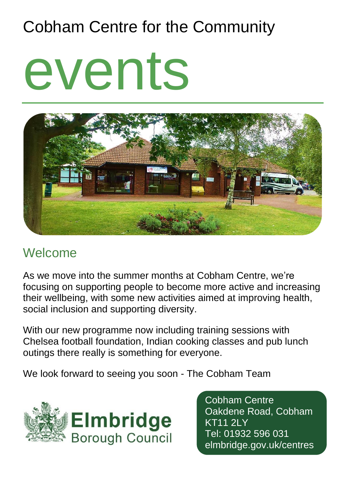## Cobham Centre for the Community

# events



## Welcome

As we move into the summer months at Cobham Centre, we're focusing on supporting people to become more active and increasing their wellbeing, with some new activities aimed at improving health, social inclusion and supporting diversity.

With our new programme now including training sessions with Chelsea football foundation, Indian cooking classes and pub lunch outings there really is something for everyone.

We look forward to seeing you soon - The Cobham Team



Cobham Centre Oakdene Road, Cobham KT11 2LY Tel: 01932 596 031 elmbridge.gov.uk/centres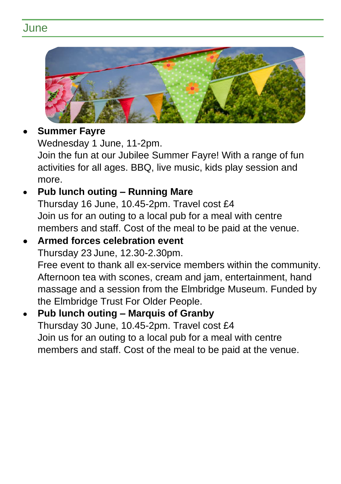### June



#### • **Summer Fayre**

Wednesday 1 June, 11-2pm.

Join the fun at our Jubilee Summer Fayre! With a range of fun activities for all ages. BBQ, live music, kids play session and more.

#### • **Pub lunch outing – Running Mare**

Thursday 16 June, 10.45-2pm. Travel cost £4 Join us for an outing to a local pub for a meal with centre members and staff. Cost of the meal to be paid at the venue.

#### • **Armed forces celebration event**  Thursday 23 June, 12.30-2.30pm.

Free event to thank all ex-service members within the community. Afternoon tea with scones, cream and jam, entertainment, hand massage and a session from the Elmbridge Museum. Funded by the Elmbridge Trust For Older People.

#### • **Pub lunch outing – Marquis of Granby** Thursday 30 June, 10.45-2pm. Travel cost £4 Join us for an outing to a local pub for a meal with centre members and staff. Cost of the meal to be paid at the venue.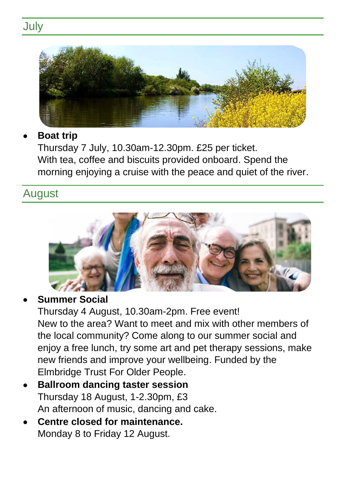## **July**



#### • **Boat trip**

Thursday 7 July, 10.30am-12.30pm. £25 per ticket. With tea, coffee and biscuits provided onboard. Spend the morning enjoying a cruise with the peace and quiet of the river.

#### August



#### • **Summer Social**

Thursday 4 August, 10.30am-2pm. Free event! New to the area? Want to meet and mix with other members of the local community? Come along to our summer social and enjoy a free lunch, try some art and pet therapy sessions, make new friends and improve your wellbeing. Funded by the Elmbridge Trust For Older People.

- **Ballroom dancing taster session** Thursday 18 August, 1-2.30pm, £3 An afternoon of music, dancing and cake.
- **Centre closed for maintenance.** Monday 8 to Friday 12 August.